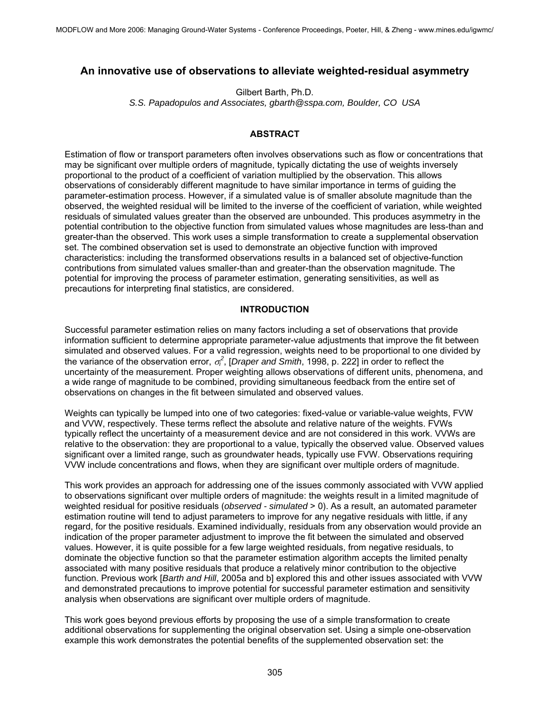# **An innovative use of observations to alleviate weighted-residual asymmetry**

Gilbert Barth, Ph.D. *S.S. Papadopulos and Associates, gbarth@sspa.com, Boulder, CO USA* 

# **ABSTRACT**

Estimation of flow or transport parameters often involves observations such as flow or concentrations that may be significant over multiple orders of magnitude, typically dictating the use of weights inversely proportional to the product of a coefficient of variation multiplied by the observation. This allows observations of considerably different magnitude to have similar importance in terms of guiding the parameter-estimation process. However, if a simulated value is of smaller absolute magnitude than the observed, the weighted residual will be limited to the inverse of the coefficient of variation, while weighted residuals of simulated values greater than the observed are unbounded. This produces asymmetry in the potential contribution to the objective function from simulated values whose magnitudes are less-than and greater-than the observed. This work uses a simple transformation to create a supplemental observation set. The combined observation set is used to demonstrate an objective function with improved characteristics: including the transformed observations results in a balanced set of objective-function contributions from simulated values smaller-than and greater-than the observation magnitude. The potential for improving the process of parameter estimation, generating sensitivities, as well as precautions for interpreting final statistics, are considered.

### **INTRODUCTION**

Successful parameter estimation relies on many factors including a set of observations that provide information sufficient to determine appropriate parameter-value adjustments that improve the fit between simulated and observed values. For a valid regression, weights need to be proportional to one divided by the variance of the observation error,  $\sigma_i^2$ , [*Draper and Smith*, 1998, p. 222] in order to reflect the uncertainty of the measurement. Proper weighting allows observations of different units, phenomena, and a wide range of magnitude to be combined, providing simultaneous feedback from the entire set of observations on changes in the fit between simulated and observed values.

Weights can typically be lumped into one of two categories: fixed-value or variable-value weights, FVW and VVW, respectively. These terms reflect the absolute and relative nature of the weights. FVWs typically reflect the uncertainty of a measurement device and are not considered in this work. VVWs are relative to the observation: they are proportional to a value, typically the observed value. Observed values significant over a limited range, such as groundwater heads, typically use FVW. Observations requiring VVW include concentrations and flows, when they are significant over multiple orders of magnitude.

This work provides an approach for addressing one of the issues commonly associated with VVW applied to observations significant over multiple orders of magnitude: the weights result in a limited magnitude of weighted residual for positive residuals (*observed - simulated* > 0). As a result, an automated parameter estimation routine will tend to adjust parameters to improve for any negative residuals with little, if any regard, for the positive residuals. Examined individually, residuals from any observation would provide an indication of the proper parameter adjustment to improve the fit between the simulated and observed values. However, it is quite possible for a few large weighted residuals, from negative residuals, to dominate the objective function so that the parameter estimation algorithm accepts the limited penalty associated with many positive residuals that produce a relatively minor contribution to the objective function. Previous work [*Barth and Hill*, 2005a and b] explored this and other issues associated with VVW and demonstrated precautions to improve potential for successful parameter estimation and sensitivity analysis when observations are significant over multiple orders of magnitude.

This work goes beyond previous efforts by proposing the use of a simple transformation to create additional observations for supplementing the original observation set. Using a simple one-observation example this work demonstrates the potential benefits of the supplemented observation set: the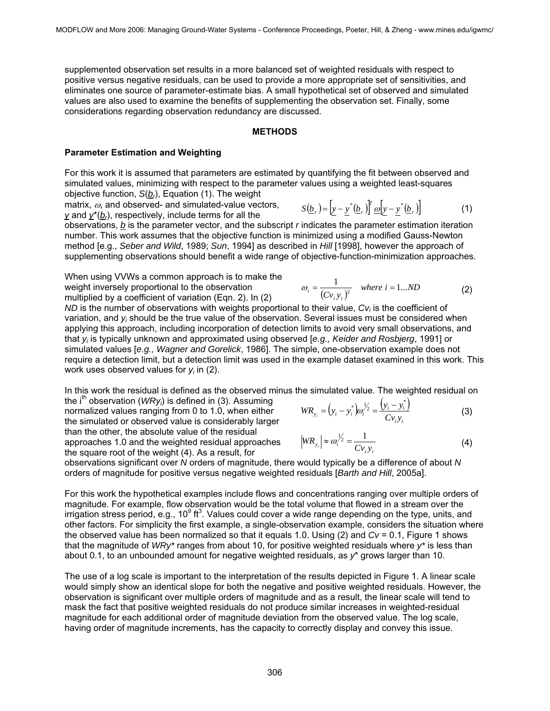supplemented observation set results in a more balanced set of weighted residuals with respect to positive versus negative residuals, can be used to provide a more appropriate set of sensitivities, and eliminates one source of parameter-estimate bias. A small hypothetical set of observed and simulated values are also used to examine the benefits of supplementing the observation set. Finally, some considerations regarding observation redundancy are discussed.

#### **METHODS**

### **Parameter Estimation and Weighting**

For this work it is assumed that parameters are estimated by quantifying the fit between observed and simulated values, minimizing with respect to the parameter values using a weighted least-squares objective function, *S*(*br*), Equation (1). The weight

matrix,  $\omega$ , and observed- and simulated-value vectors, *y* and  $y^*(b)$ , respectively, include terms for all the

 $S(\underline{b}_r) = \left[ y - y^* (\underline{b}_r) \right]^r \omega [y - y^* (\underline{b}_r)]$  (1)

observations, *b* is the parameter vector, and the subscript *r* indicates the parameter estimation iteration number. This work assumes that the objective function is minimized using a modified Gauss-Newton method [e.g., *Seber and Wild*, 1989; *Sun*, 1994] as described in *Hill* [1998], however the approach of supplementing observations should benefit a wide range of objective-function-minimization approaches.

When using VVWs a common approach is to make the weight inversely proportional to the observation multiplied by a coefficient of variation (Eqn. 2). In (2)

approaches 1.0 and the weighted residual approaches the square root of the weight (4). As a result, for

$$
\omega_{i} = \frac{1}{(Cv_{i}y_{i})^{2}} \quad where \ i = 1...ND \tag{2}
$$

*ND* is the number of observations with weights proportional to their value,  $CV_i$  is the coefficient of variation, and y<sub>i</sub> should be the true value of the observation. Several issues must be considered when applying this approach, including incorporation of detection limits to avoid very small observations, and that *yi* is typically unknown and approximated using observed [*e.g., Keider and Rosbjerg*, 1991] or simulated values [*e.g., Wagner and Gorelick*, 1986]. The simple, one-observation example does not require a detection limit, but a detection limit was used in the example dataset examined in this work. This work uses observed values for  $y_i$  in (2).

In this work the residual is defined as the observed minus the simulated value. The weighted residual on the i<sup>th</sup> observation (*WRy<sub>i</sub>*) is defined in (3). Assuming normalized values ranging from 0 to 1.0, when either the simulated or observed value is considerably larger than the other, the absolute value of the residual  $(y_i - y_i^*)\omega_i^{1/2} = \frac{(y_i - y_i^*)}{\sqrt{\omega_i^2}}$ *i i*  $WR_{y_i} = (y_i - y_i^*)\omega_i^{1/2} = \frac{(y_i - y_i^*)}{Cy_i y_i}$  (3)

$$
\left|WR_{y_i}\right| \approx \omega_i^{\frac{1}{2}} = \frac{1}{Cv_i y_i} \tag{4}
$$

observations significant over *N* orders of magnitude, there would typically be a difference of about *N* orders of magnitude for positive versus negative weighted residuals [*Barth and Hill*, 2005a].

For this work the hypothetical examples include flows and concentrations ranging over multiple orders of magnitude. For example, flow observation would be the total volume that flowed in a stream over the irrigation stress period, e.g., 10 $9$  ft<sup>3</sup>. Values could cover a wide range depending on the type, units, and other factors. For simplicity the first example, a single-observation example, considers the situation where the observed value has been normalized so that it equals 1.0. Using (2) and *Cv* = 0.1, Figure 1 shows that the magnitude of *WRy\** ranges from about 10, for positive weighted residuals where *y\** is less than about 0.1, to an unbounded amount for negative weighted residuals, as *y*\* grows larger than 10.

The use of a log scale is important to the interpretation of the results depicted in Figure 1. A linear scale would simply show an identical slope for both the negative and positive weighted residuals. However, the observation is significant over multiple orders of magnitude and as a result, the linear scale will tend to mask the fact that positive weighted residuals do not produce similar increases in weighted-residual magnitude for each additional order of magnitude deviation from the observed value. The log scale, having order of magnitude increments, has the capacity to correctly display and convey this issue.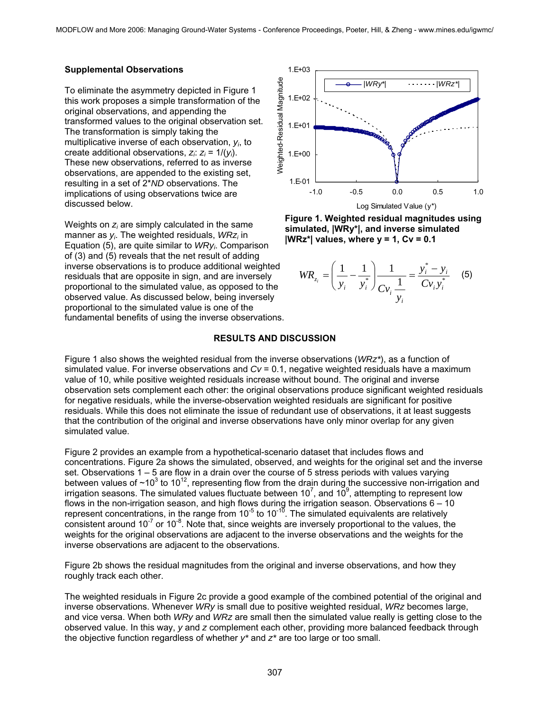# **Supplemental Observations**

To eliminate the asymmetry depicted in Figure 1 this work proposes a simple transformation of the original observations, and appending the transformed values to the original observation set. The transformation is simply taking the multiplicative inverse of each observation, *yi* , to create additional observations, *zi* : *zi* = 1/(*yi* ). These new observations, referred to as inverse observations, are appended to the existing set, resulting in a set of 2\**ND* observations. The implications of using observations twice are discussed below.

Weights on  $z_i$  are simply calculated in the same manner as *yi* . The weighted residuals, *WRzi* in Equation (5), are quite similar to *WRyi* . Comparison of (3) and (5) reveals that the net result of adding inverse observations is to produce additional weighted residuals that are opposite in sign, and are inversely proportional to the simulated value, as opposed to the observed value. As discussed below, being inversely proportional to the simulated value is one of the fundamental benefits of using the inverse observations.



**Figure 1. Weighted residual magnitudes using simulated, |WRy\*|, and inverse simulated |WRz\*| values, where y = 1, Cv = 0.1** 

$$
WR_{z_i} = \left(\frac{1}{y_i} - \frac{1}{y_i^*}\right) \frac{1}{Cv_i} \frac{1}{\frac{1}{y_i}} = \frac{y_i^* - y_i}{Cv_i y_i^*} \quad (5)
$$

### **RESULTS AND DISCUSSION**

Figure 1 also shows the weighted residual from the inverse observations (*WRz\**), as a function of simulated value. For inverse observations and  $Cv = 0.1$ , negative weighted residuals have a maximum value of 10, while positive weighted residuals increase without bound. The original and inverse observation sets complement each other: the original observations produce significant weighted residuals for negative residuals, while the inverse-observation weighted residuals are significant for positive residuals. While this does not eliminate the issue of redundant use of observations, it at least suggests that the contribution of the original and inverse observations have only minor overlap for any given simulated value.

Figure 2 provides an example from a hypothetical-scenario dataset that includes flows and concentrations. Figure 2a shows the simulated, observed, and weights for the original set and the inverse set. Observations 1 – 5 are flow in a drain over the course of 5 stress periods with values varying between values of  $\sim$ 10<sup>3</sup> to 10<sup>12</sup>, representing flow from the drain during the successive non-irrigation and irrigation seasons. The simulated values fluctuate between 10<sup>7</sup>, and 10<sup>9</sup>, attempting to represent low flows in the non-irrigation season, and high flows during the irrigation season. Observations 6 – 10 represent concentrations, in the range from  $10^{-5}$  to  $10^{-10}$ . The simulated equivalents are relatively consistent around  $10^{-7}$  or  $10^{-8}$ . Note that, since weights are inversely proportional to the values, the weights for the original observations are adjacent to the inverse observations and the weights for the inverse observations are adjacent to the observations.

Figure 2b shows the residual magnitudes from the original and inverse observations, and how they roughly track each other.

The weighted residuals in Figure 2c provide a good example of the combined potential of the original and inverse observations. Whenever *WRy* is small due to positive weighted residual, *WRz* becomes large, and vice versa. When both *WRy* and *WRz* are small then the simulated value really is getting close to the observed value. In this way, *y* and *z* complement each other, providing more balanced feedback through the objective function regardless of whether *y\** and *z\** are too large or too small.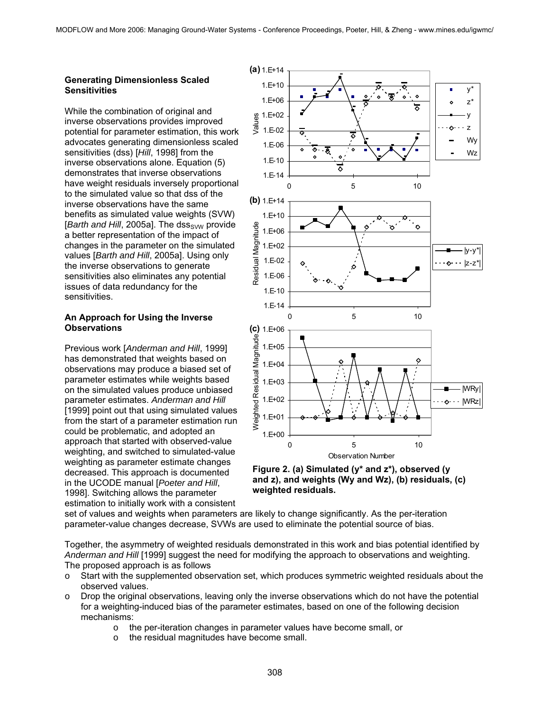#### **Generating Dimensionless Scaled Sensitivities**

While the combination of original and inverse observations provides improved potential for parameter estimation, this work advocates generating dimensionless scaled sensitivities (dss) [*Hill*, 1998] from the inverse observations alone. Equation (5) demonstrates that inverse observations have weight residuals inversely proportional to the simulated value so that dss of the inverse observations have the same benefits as simulated value weights (SVW) [*Barth and Hill*, 2005a]. The dss<sub>SVW</sub> provide a better representation of the impact of changes in the parameter on the simulated values [*Barth and Hill*, 2005a]. Using only the inverse observations to generate sensitivities also eliminates any potential issues of data redundancy for the sensitivities.

# **An Approach for Using the Inverse Observations**

Previous work [*Anderman and Hill*, 1999] has demonstrated that weights based on observations may produce a biased set of parameter estimates while weights based on the simulated values produce unbiased parameter estimates. *Anderman and Hill* [1999] point out that using simulated values from the start of a parameter estimation run could be problematic, and adopted an approach that started with observed-value weighting, and switched to simulated-value weighting as parameter estimate changes decreased. This approach is documented in the UCODE manual [*Poeter and Hill*, 1998]. Switching allows the parameter estimation to initially work with a consistent





set of values and weights when parameters are likely to change significantly. As the per-iteration parameter-value changes decrease, SVWs are used to eliminate the potential source of bias.

Together, the asymmetry of weighted residuals demonstrated in this work and bias potential identified by *Anderman and Hill* [1999] suggest the need for modifying the approach to observations and weighting. The proposed approach is as follows

- o Start with the supplemented observation set, which produces symmetric weighted residuals about the observed values.
- $\circ$  Drop the original observations, leaving only the inverse observations which do not have the potential for a weighting-induced bias of the parameter estimates, based on one of the following decision mechanisms:
	- o the per-iteration changes in parameter values have become small, or
	- o the residual magnitudes have become small.